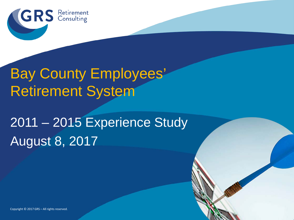

#### Bay County Employees' Retirement System

# 2011 – 2015 Experience Study August 8, 2017

Copyright © 2017 GRS – All rights reserved.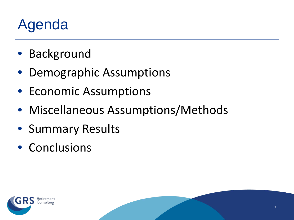#### Agenda

- Background
- Demographic Assumptions
- Economic Assumptions
- Miscellaneous Assumptions/Methods
- Summary Results
- Conclusions

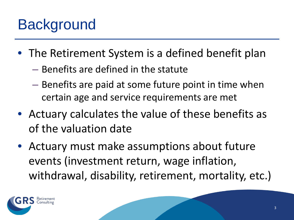- The Retirement System is a defined benefit plan
	- Benefits are defined in the statute
	- Benefits are paid at some future point in time when certain age and service requirements are met
- Actuary calculates the value of these benefits as of the valuation date
- Actuary must make assumptions about future events (investment return, wage inflation, withdrawal, disability, retirement, mortality, etc.)

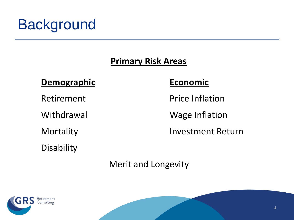#### **Primary Risk Areas**

#### **Demographic Economic**

**Disability** 

Retirement Price Inflation

Withdrawal Wage Inflation

Mortality Investment Return

Merit and Longevity

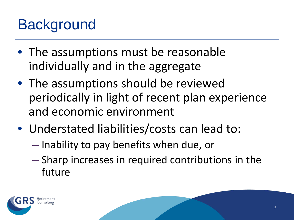- The assumptions must be reasonable individually and in the aggregate
- The assumptions should be reviewed periodically in light of recent plan experience and economic environment
- Understated liabilities/costs can lead to:
	- Inability to pay benefits when due, or
	- Sharp increases in required contributions in the future

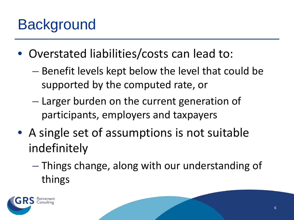- Overstated liabilities/costs can lead to:
	- Benefit levels kept below the level that could be supported by the computed rate, or
	- Larger burden on the current generation of participants, employers and taxpayers
- A single set of assumptions is not suitable indefinitely
	- Things change, along with our understanding of things

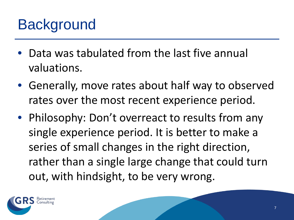- Data was tabulated from the last five annual valuations.
- Generally, move rates about half way to observed rates over the most recent experience period.
- Philosophy: Don't overreact to results from any single experience period. It is better to make a series of small changes in the right direction, rather than a single large change that could turn out, with hindsight, to be very wrong.

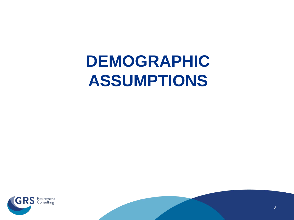# **DEMOGRAPHIC ASSUMPTIONS**



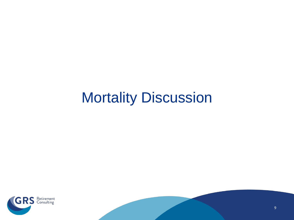#### Mortality Discussion



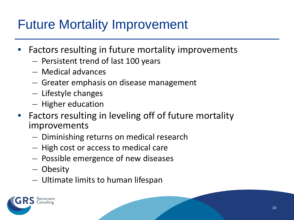#### Future Mortality Improvement

- Factors resulting in future mortality improvements
	- Persistent trend of last 100 years
	- Medical advances
	- Greater emphasis on disease management
	- Lifestyle changes
	- Higher education
- Factors resulting in leveling off of future mortality improvements
	- Diminishing returns on medical research
	- High cost or access to medical care
	- Possible emergence of new diseases
	- Obesity
	- Ultimate limits to human lifespan

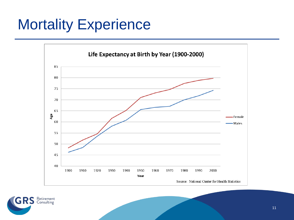

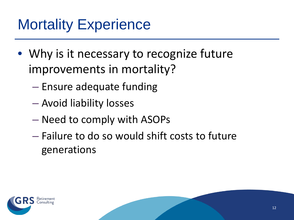- Why is it necessary to recognize future improvements in mortality?
	- Ensure adequate funding
	- Avoid liability losses
	- Need to comply with ASOPs
	- Failure to do so would shift costs to future generations

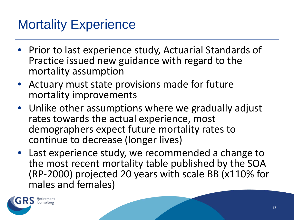- Prior to last experience study, Actuarial Standards of Practice issued new guidance with regard to the mortality assumption
- Actuary must state provisions made for future mortality improvements
- Unlike other assumptions where we gradually adjust rates towards the actual experience, most demographers expect future mortality rates to continue to decrease (longer lives)
- Last experience study, we recommended a change to the most recent mortality table published by the SOA (RP-2000) projected 20 years with scale BB (x110% for males and females)

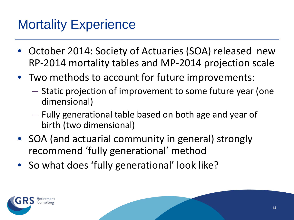- October 2014: Society of Actuaries (SOA) released new RP-2014 mortality tables and MP-2014 projection scale
- Two methods to account for future improvements:
	- Static projection of improvement to some future year (one dimensional)
	- Fully generational table based on both age and year of birth (two dimensional)
- SOA (and actuarial community in general) strongly recommend 'fully generational' method
- So what does 'fully generational' look like?

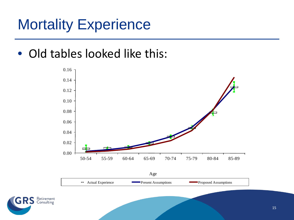• Old tables looked like this:



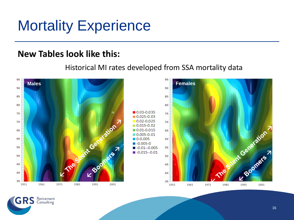#### **New Tables look like this:**

#### Historical MI rates developed from SSA mortality data



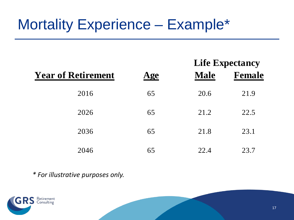#### Mortality Experience – Example\*

|                           |                |             | LIIU L'Apulanty |  |  |
|---------------------------|----------------|-------------|-----------------|--|--|
| <b>Year of Retirement</b> | $\mathbf{Age}$ | <b>Male</b> | <b>Female</b>   |  |  |
| 2016                      | 65             | 20.6        | 21.9            |  |  |
| 2026                      | 65             | 21.2        | 22.5            |  |  |
| 2036                      | 65             | 21.8        | 23.1            |  |  |
| 2046                      | 65             | 22.4        | 23.7            |  |  |

*\* For illustrative purposes only.*





**Life Evnectancy**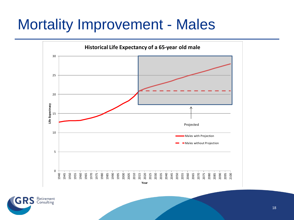#### Mortality Improvement - Males



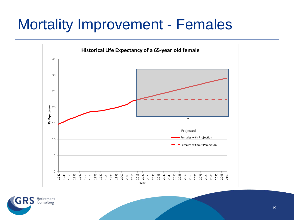#### Mortality Improvement - Females



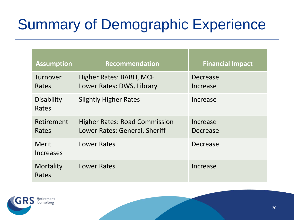# Summary of Demographic Experience

| <b>Assumption</b>                | <b>Recommendation</b>                                                 | <b>Financial Impact</b> |
|----------------------------------|-----------------------------------------------------------------------|-------------------------|
| Turnover<br>Rates                | Higher Rates: BABH, MCF<br>Lower Rates: DWS, Library                  | Decrease<br>Increase    |
| <b>Disability</b><br>Rates       | <b>Slightly Higher Rates</b>                                          | Increase                |
| Retirement<br>Rates              | <b>Higher Rates: Road Commission</b><br>Lower Rates: General, Sheriff | Increase<br>Decrease    |
| <b>Merit</b><br><b>Increases</b> | <b>Lower Rates</b>                                                    | Decrease                |
| Mortality<br>Rates               | <b>Lower Rates</b>                                                    | Increase                |

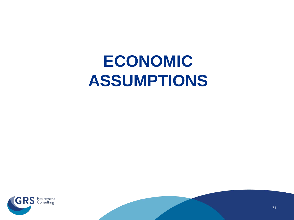# **ECONOMIC ASSUMPTIONS**



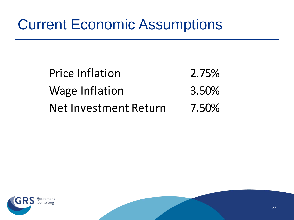#### Current Economic Assumptions

| <b>Price Inflation</b> | 2.75% |
|------------------------|-------|
| <b>Wage Inflation</b>  | 3.50% |
| Net Investment Return  | 7.50% |



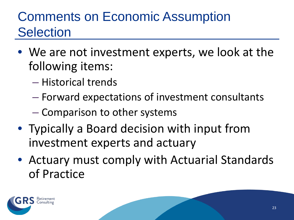#### Comments on Economic Assumption **Selection**

- We are not investment experts, we look at the following items:
	- Historical trends
	- Forward expectations of investment consultants
	- Comparison to other systems
- Typically a Board decision with input from investment experts and actuary
- Actuary must comply with Actuarial Standards of Practice

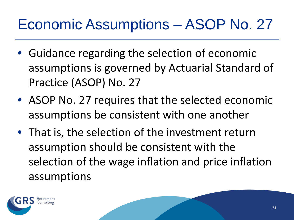#### Economic Assumptions – ASOP No. 27

- Guidance regarding the selection of economic assumptions is governed by Actuarial Standard of Practice (ASOP) No. 27
- ASOP No. 27 requires that the selected economic assumptions be consistent with one another
- That is, the selection of the investment return assumption should be consistent with the selection of the wage inflation and price inflation assumptions

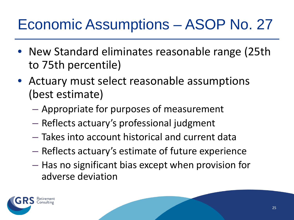#### Economic Assumptions – ASOP No. 27

- New Standard eliminates reasonable range (25th to 75th percentile)
- Actuary must select reasonable assumptions (best estimate)
	- Appropriate for purposes of measurement
	- Reflects actuary's professional judgment
	- Takes into account historical and current data
	- Reflects actuary's estimate of future experience
	- Has no significant bias except when provision for adverse deviation

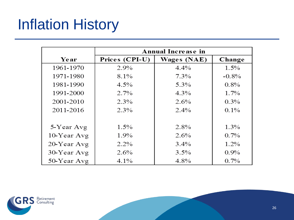# Inflation History

|                |                | <b>Annual Increase in</b> |         |  |  |  |
|----------------|----------------|---------------------------|---------|--|--|--|
| Year           | Prices (CPI-U) | <b>Wages (NAE)</b>        | Change  |  |  |  |
| 1961-1970      | $2.9\%$        | $4.4\%$                   | 1.5%    |  |  |  |
| 1971-1980      | $8.1\%$        | $7.3\%$                   | $-0.8%$ |  |  |  |
| 1981-1990      | $4.5\%$        | 5.3%                      | $0.8\%$ |  |  |  |
| 1991-2000      | $2.7\%$        | $4.3\%$                   | $1.7\%$ |  |  |  |
| 2001-2010      | $2.3\%$        | $2.6\%$                   | $0.3\%$ |  |  |  |
| 2011-2016      | $2.3\%$        | $2.4\%$                   | $0.1\%$ |  |  |  |
|                |                |                           |         |  |  |  |
| 5-Year Avg     | $1.5\%$        | $2.8\%$                   | $1.3\%$ |  |  |  |
| $10$ -Year Avg | $1.9\%$        | $2.6\%$                   | $0.7\%$ |  |  |  |
| 20-Year Avg    | $2.2\%$        | $3.4\%$                   | $1.2\%$ |  |  |  |
| 30-Year Avg    | $2.6\%$        | $3.5\%$                   | $0.9\%$ |  |  |  |
| 50-Year Avg    | $4.1\%$        | 4.8%                      | $0.7\%$ |  |  |  |

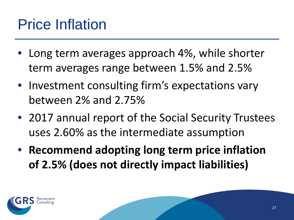#### Price Inflation

- Long term averages approach 4%, while shorter term averages range between 1.5% and 2.5%
- Investment consulting firm's expectations vary between 2% and 2.75%
- 2017 annual report of the Social Security Trustees uses 2.60% as the intermediate assumption
- **Recommend adopting long term price inflation of 2.5% (does not directly impact liabilities)**

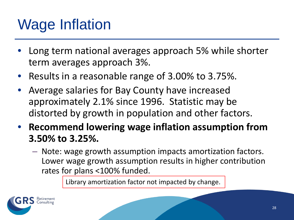# Wage Inflation

- Long term national averages approach 5% while shorter term averages approach 3%.
- Results in a reasonable range of 3.00% to 3.75%.
- Average salaries for Bay County have increased approximately 2.1% since 1996. Statistic may be distorted by growth in population and other factors.
- **Recommend lowering wage inflation assumption from 3.50% to 3.25%.**
	- Note: wage growth assumption impacts amortization factors. Lower wage growth assumption results in higher contribution rates for plans <100% funded.

Library amortization factor not impacted by change.

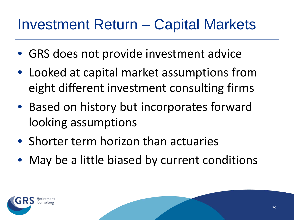#### Investment Return – Capital Markets

- GRS does not provide investment advice
- Looked at capital market assumptions from eight different investment consulting firms
- Based on history but incorporates forward looking assumptions
- Shorter term horizon than actuaries
- May be a little biased by current conditions

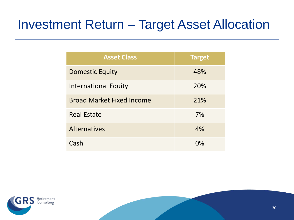#### Investment Return – Target Asset Allocation

| <b>Asset Class</b>               | <b>Target</b> |
|----------------------------------|---------------|
| <b>Domestic Equity</b>           | 48%           |
| <b>International Equity</b>      | 20%           |
| <b>Broad Market Fixed Income</b> | 21%           |
| <b>Real Estate</b>               | 7%            |
| <b>Alternatives</b>              | 4%            |
| Cash                             | $\Omega\%$    |

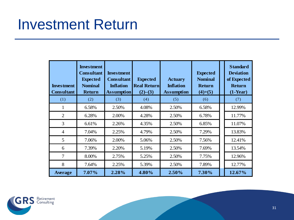#### Investment Return

| <b>Investment</b><br><b>Consultant</b> | <b>Investment</b><br><b>Consultant</b><br><b>Expected</b><br><b>Nominal</b><br><b>Return</b> | <b>Investment</b><br><b>Consultant</b><br><b>Inflation</b><br><b>Assumption</b> | <b>Expected</b><br><b>Real Return</b><br>(2)–(3) | <b>Actuary</b><br><b>Inflation</b><br><b>Assumption</b> | <b>Expected</b><br><b>Nominal</b><br><b>Return</b><br>$(4)+(5)$ | <b>Standard</b><br><b>Deviation</b><br>of Expected<br><b>Return</b><br>$(1-Year)$ |
|----------------------------------------|----------------------------------------------------------------------------------------------|---------------------------------------------------------------------------------|--------------------------------------------------|---------------------------------------------------------|-----------------------------------------------------------------|-----------------------------------------------------------------------------------|
| (1)                                    | (2)                                                                                          | (3)                                                                             | (4)                                              | (5)                                                     | (6)                                                             | (7)                                                                               |
| 1                                      | 6.58%                                                                                        | 2.50%                                                                           | 4.08%                                            | 2.50%                                                   | 6.58%                                                           | 12.99%                                                                            |
| $\overline{2}$                         | 6.28%                                                                                        | 2.00%                                                                           | 4.28%                                            | 2.50%                                                   | 6.78%                                                           | 11.77%                                                                            |
| 3                                      | 6.61%                                                                                        | 2.26%                                                                           | 4.35%                                            | 2.50%                                                   | 6.85%                                                           | 11.07%                                                                            |
| $\overline{4}$                         | 7.04%                                                                                        | 2.25%                                                                           | 4.79%                                            | 2.50%                                                   | 7.29%                                                           | 13.83%                                                                            |
| 5                                      | 7.06%                                                                                        | 2.00%                                                                           | 5.06%                                            | 2.50%                                                   | 7.56%                                                           | 12.41%                                                                            |
| 6                                      | 7.39%                                                                                        | 2.20%                                                                           | 5.19%                                            | 2.50%                                                   | 7.69%                                                           | 13.54%                                                                            |
| $\overline{7}$                         | 8.00%                                                                                        | 2.75%                                                                           | 5.25%                                            | 2.50%                                                   | 7.75%                                                           | 12.96%                                                                            |
| 8                                      | 7.64%                                                                                        | 2.25%                                                                           | 5.39%                                            | 2.50%                                                   | 7.89%                                                           | 12.77%                                                                            |
| Average                                | 7.07%                                                                                        | 2.28%                                                                           | 4.80%                                            | 2.50%                                                   | 7.30%                                                           | 12.67%                                                                            |

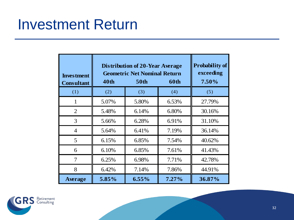#### Investment Return

| <b>Investment</b><br><b>Consultant</b> | <b>Distribution of 20-Year Average</b><br><b>Geometric Net Nominal Return</b><br><b>40th</b> | <b>Probability of</b><br>exceeding<br>$7.50\%$ |          |        |
|----------------------------------------|----------------------------------------------------------------------------------------------|------------------------------------------------|----------|--------|
| (1)                                    | (2)                                                                                          | (3)                                            | (4)      | (5)    |
| 1                                      | 5.07%                                                                                        | 5.80%                                          | 6.53%    | 27.79% |
| 2                                      | 5.48%                                                                                        | 6.14%                                          | 6.80%    | 30.16% |
| 3                                      | 5.66%                                                                                        | 6.28%                                          | 6.91%    | 31.10% |
| $\overline{4}$                         | 5.64%                                                                                        | 6.41%                                          | 7.19%    | 36.14% |
| 5                                      | 6.15%                                                                                        | 6.85%                                          | 7.54%    | 40.62% |
| 6                                      | 6.10%                                                                                        | 6.85%                                          | 7.61%    | 41.43% |
| 7                                      | 6.25%                                                                                        | 6.98%                                          | 7.71%    | 42.78% |
| 8                                      | 6.42%                                                                                        | 7.14%                                          | 7.86%    | 44.91% |
| <b>Average</b>                         | 5.85%                                                                                        | $6.55\%$                                       | $7.27\%$ | 36.87% |

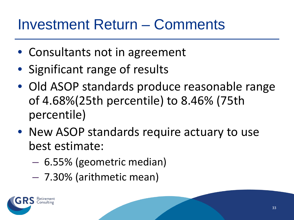#### Investment Return – Comments

- Consultants not in agreement
- Significant range of results
- Old ASOP standards produce reasonable range of 4.68%(25th percentile) to 8.46% (75th percentile)
- New ASOP standards require actuary to use best estimate:
	- 6.55% (geometric median)
	- 7.30% (arithmetic mean)

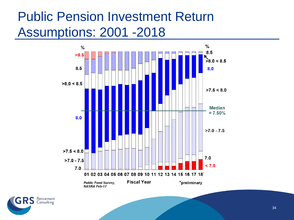#### Public Pension Investment Return Assumptions: 2001 -2018



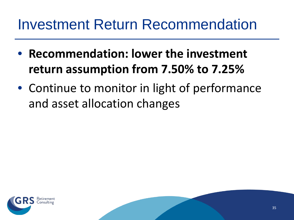#### Investment Return Recommendation

- **Recommendation: lower the investment return assumption from 7.50% to 7.25%**
- Continue to monitor in light of performance and asset allocation changes



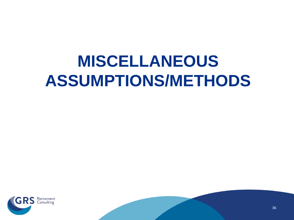# **MISCELLANEOUS ASSUMPTIONS/METHODS**



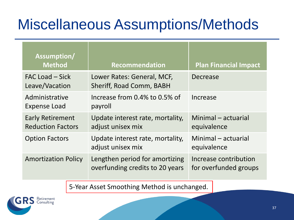### Miscellaneous Assumptions/Methods

| Assumption/<br><b>Method</b>                                                                    | <b>Recommendation</b>                                  | <b>Plan Financial Impact</b>                   |  |  |  |
|-------------------------------------------------------------------------------------------------|--------------------------------------------------------|------------------------------------------------|--|--|--|
| FAC Load – Sick<br>Leave/Vacation                                                               | Lower Rates: General, MCF,<br>Sheriff, Road Comm, BABH | Decrease                                       |  |  |  |
| Administrative<br><b>Expense Load</b>                                                           | Increase from 0.4% to 0.5% of<br>payroll               | Increase                                       |  |  |  |
| <b>Early Retirement</b><br><b>Reduction Factors</b>                                             | Update interest rate, mortality,<br>adjust unisex mix  | Minimal – actuarial<br>equivalence             |  |  |  |
| <b>Option Factors</b>                                                                           | Update interest rate, mortality,<br>adjust unisex mix  | Minimal - actuarial<br>equivalence             |  |  |  |
| Lengthen period for amortizing<br><b>Amortization Policy</b><br>overfunding credits to 20 years |                                                        | Increase contribution<br>for overfunded groups |  |  |  |
| 5-Year Asset Smoothing Method is unchanged.                                                     |                                                        |                                                |  |  |  |

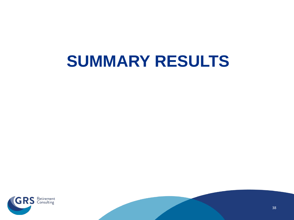# **SUMMARY RESULTS**



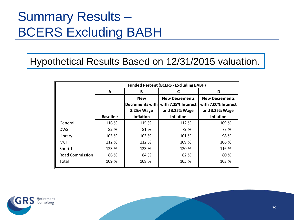#### Summary Results – BCERS Excluding BABH

Hypothetical Results Based on 12/31/2015 valuation.

|                        | <b>Funded Percent (BCERS - Excluding BABH)</b> |                         |                                    |                                    |  |
|------------------------|------------------------------------------------|-------------------------|------------------------------------|------------------------------------|--|
|                        | A                                              | В                       |                                    | D                                  |  |
|                        |                                                | <b>New</b>              | <b>New Decrements</b>              | <b>New Decrements</b>              |  |
|                        |                                                | Decrements with         | with 7.25% Interest                | with 7.00% Interest                |  |
|                        | <b>Baseline</b>                                | 3.25% Wage<br>Inflation | and 3.25% Wage<br><b>Inflation</b> | and 3.25% Wage<br><b>Inflation</b> |  |
|                        |                                                |                         |                                    |                                    |  |
| General                | 116 %                                          | 115 %                   | 112 %                              | 109 %                              |  |
| <b>DWS</b>             | 82 %                                           | 81 %                    | 79 %                               | 77 %                               |  |
| Library                | 105 %                                          | 103 %                   | 101 %                              | 98 %                               |  |
| <b>MCF</b>             | 112 %                                          | 112 %                   | 109 %                              | 106 %                              |  |
| Sheriff                | 123 %                                          | 123 %                   | 120 %                              | 116 %                              |  |
| <b>Road Commission</b> | 86 %                                           | 84 %                    | 82 %                               | 80 %                               |  |
| Total                  | 109 %                                          | 108 %                   | 105 %                              | 103 %                              |  |

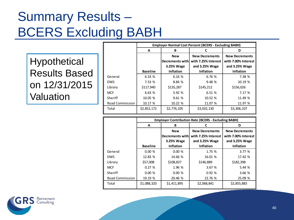#### Summary Results – BCERS Excluding BABH

Hypothetical Results Based on 12/31/2015 **Valuation** 

|                        | <b>Employer Normal Cost Percent (BCERS - Excluding BABH)</b> |                  |                       |                       |  |
|------------------------|--------------------------------------------------------------|------------------|-----------------------|-----------------------|--|
|                        | A                                                            | В                | C                     | D                     |  |
|                        |                                                              | <b>New</b>       | <b>New Decrements</b> | <b>New Decrements</b> |  |
|                        |                                                              | Decrements with  | with 7.25% Interest   | with 7.00% Interest   |  |
|                        |                                                              | 3.25% Wage       | and 3.25% Wage        | and 3.25% Wage        |  |
|                        | <b>Baseline</b>                                              | <b>Inflation</b> | Inflation             | <b>Inflation</b>      |  |
| General                | 6.33 %                                                       | 6.16 %           | 6.76 %                | 7.38 %                |  |
| <b>DWS</b>             | 7.53%                                                        | 8.84 %           | 9.48 %                | 10.19 %               |  |
| Library                | \$117,940                                                    | \$135,287        | \$145,212             | \$156,026             |  |
| <b>MCF</b>             | 6.63 %                                                       | 5.92 %           | 6.51 %                | 7.17 %                |  |
| Sheriff                | 10.05 %                                                      | 9.61 %           | 10.52 %               | 11.49 %               |  |
| <b>Road Commission</b> | 10.17 %                                                      | 10.22 %          | 11.07 %               | 11.97 %               |  |
| Total                  | \$2,852,172                                                  | \$2,776,105      | \$3,032,130           | \$3,306,107           |  |

|                        | <b>Employer Contribution Rate (BCERS - Excluding BABH)</b> |                  |                       |                       |  |  |
|------------------------|------------------------------------------------------------|------------------|-----------------------|-----------------------|--|--|
|                        | A                                                          | B                |                       | D                     |  |  |
|                        |                                                            | <b>New</b>       | <b>New Decrements</b> | <b>New Decrements</b> |  |  |
|                        |                                                            | Decrements with  | with 7.25% Interest   | with 7.00% Interest   |  |  |
|                        |                                                            | 3.25% Wage       | and 3.25% Wage        | and 3.25% Wage        |  |  |
|                        | <b>Baseline</b>                                            | <b>Inflation</b> | <b>Inflation</b>      | <b>Inflation</b>      |  |  |
| General                | 0.00%                                                      | 0.00%            | 1.75 %                | 3.77%                 |  |  |
| <b>DWS</b>             | 12.83 %                                                    | 14.66 %          | 16.01 %               | 17.42 %               |  |  |
| Library                | \$57,008                                                   | \$108,827        | \$146,889             | \$182,398             |  |  |
| <b>MCF</b>             | 0.27%                                                      | 1.96 %           | 3.67 %                | 5.44 %                |  |  |
| Sheriff                | 0.00%                                                      | 0.00%            | 0.92%                 | 3.66 %                |  |  |
| <b>Road Commission</b> | 19.19 %                                                    | 20.46 %          | 22.76 %               | 25.09 %               |  |  |
| Total                  | \$1,088,320                                                | \$1,411,895      | \$2,068,841           | \$2,855,883           |  |  |

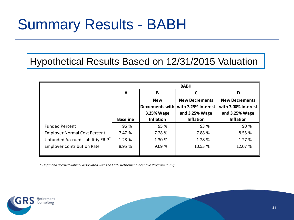#### Summary Results - BABH

Hypothetical Results Based on 12/31/2015 Valuation

|                                               | <b>BABH</b>     |                                             |                                                                |                                                                |  |  |
|-----------------------------------------------|-----------------|---------------------------------------------|----------------------------------------------------------------|----------------------------------------------------------------|--|--|
|                                               | A               | B                                           |                                                                | D                                                              |  |  |
|                                               |                 | <b>New</b><br>Decrements with<br>3.25% Wage | <b>New Decrements</b><br>with 7.25% Interest<br>and 3.25% Wage | <b>New Decrements</b><br>with 7.00% Interest<br>and 3.25% Wage |  |  |
|                                               | <b>Baseline</b> | <b>Inflation</b>                            | <b>Inflation</b>                                               | <b>Inflation</b>                                               |  |  |
| <b>Funded Percent</b>                         | 96 %            | 95 %                                        | 93 %                                                           | 90 %                                                           |  |  |
| <b>Employer Normal Cost Percent</b>           | 7.47 %          | 7.28 %                                      | 7.88 %                                                         | 8.55 %                                                         |  |  |
| Unfunded Accrued Liabilitiy ERIP <sup>®</sup> | 1.28 %          | 1.30 %                                      | 1.28%                                                          | 1.27%                                                          |  |  |
| <b>Employer Contribution Rate</b>             | 8.95 %          | 9.09%                                       | 10.55 %                                                        | 12.07 %                                                        |  |  |

*\* Unfunded accrued liability associated with the Early Retirement Incentive Program (ERIP) .*

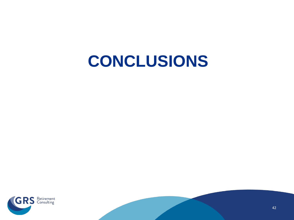# **CONCLUSIONS**



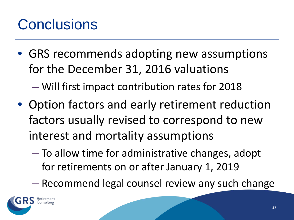#### **Conclusions**

• GRS recommends adopting new assumptions for the December 31, 2016 valuations

– Will first impact contribution rates for 2018

- Option factors and early retirement reduction factors usually revised to correspond to new interest and mortality assumptions
	- To allow time for administrative changes, adopt for retirements on or after January 1, 2019

– Recommend legal counsel review any such change

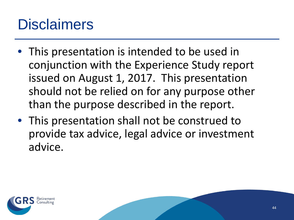#### **Disclaimers**

- This presentation is intended to be used in conjunction with the Experience Study report issued on August 1, 2017. This presentation should not be relied on for any purpose other than the purpose described in the report.
- This presentation shall not be construed to provide tax advice, legal advice or investment advice.